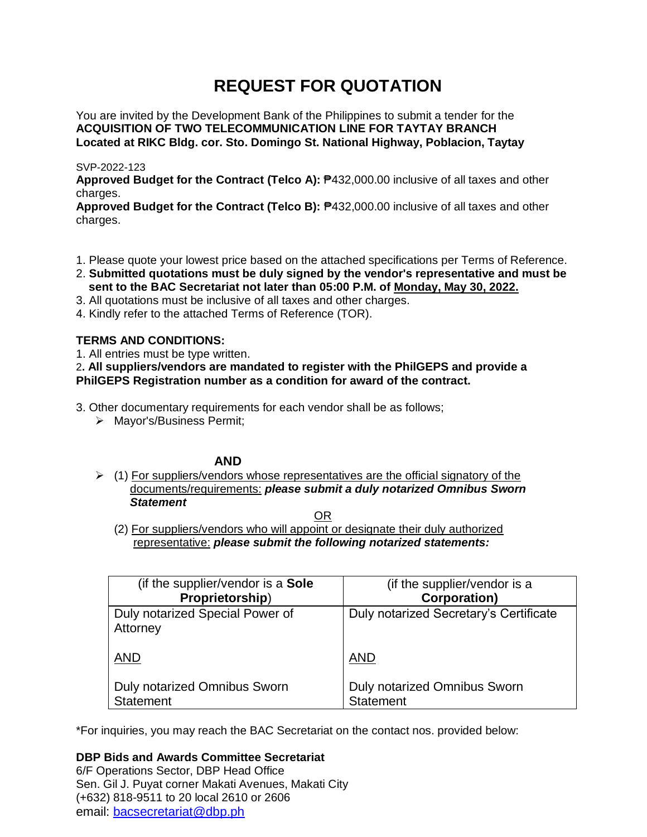# **REQUEST FOR QUOTATION**

You are invited by the Development Bank of the Philippines to submit a tender for the **ACQUISITION OF TWO TELECOMMUNICATION LINE FOR TAYTAY BRANCH Located at RIKC Bldg. cor. Sto. Domingo St. National Highway, Poblacion, Taytay**

### SVP-2022-123

**Approved Budget for the Contract (Telco A):** ₱432,000.00 inclusive of all taxes and other charges.

**Approved Budget for the Contract (Telco B):** ₱432,000.00 inclusive of all taxes and other charges.

- 1. Please quote your lowest price based on the attached specifications per Terms of Reference.
- 2. **Submitted quotations must be duly signed by the vendor's representative and must be sent to the BAC Secretariat not later than 05:00 P.M. of Monday, May 30, 2022.**
- 3. All quotations must be inclusive of all taxes and other charges.
- 4. Kindly refer to the attached Terms of Reference (TOR).

### **TERMS AND CONDITIONS:**

1. All entries must be type written.

2**. All suppliers/vendors are mandated to register with the PhilGEPS and provide a PhilGEPS Registration number as a condition for award of the contract.**

3. Other documentary requirements for each vendor shall be as follows;

> Mavor's/Business Permit:

### **AND**

 $\triangleright$  (1) For suppliers/vendors whose representatives are the official signatory of the documents/requirements: *please submit a duly notarized Omnibus Sworn Statement*

<u>OR Starting and the Starting OR Starting</u>

(2) For suppliers/vendors who will appoint or designate their duly authorized representative: *please submit the following notarized statements:*

| (if the supplier/vendor is a <b>Sole</b> )  | (if the supplier/vendor is a           |
|---------------------------------------------|----------------------------------------|
| Proprietorship)                             | <b>Corporation)</b>                    |
| Duly notarized Special Power of<br>Attorney | Duly notarized Secretary's Certificate |
| <b>AND</b>                                  | <b>AND</b>                             |
| Duly notarized Omnibus Sworn                | <b>Duly notarized Omnibus Sworn</b>    |
| <b>Statement</b>                            | <b>Statement</b>                       |

\*For inquiries, you may reach the BAC Secretariat on the contact nos. provided below:

## **DBP Bids and Awards Committee Secretariat**

6/F Operations Sector, DBP Head Office Sen. Gil J. Puyat corner Makati Avenues, Makati City (+632) 818-9511 to 20 local 2610 or 2606 email: [bacsecretariat@dbp.ph](mailto:bacsecretariat@dbp.ph)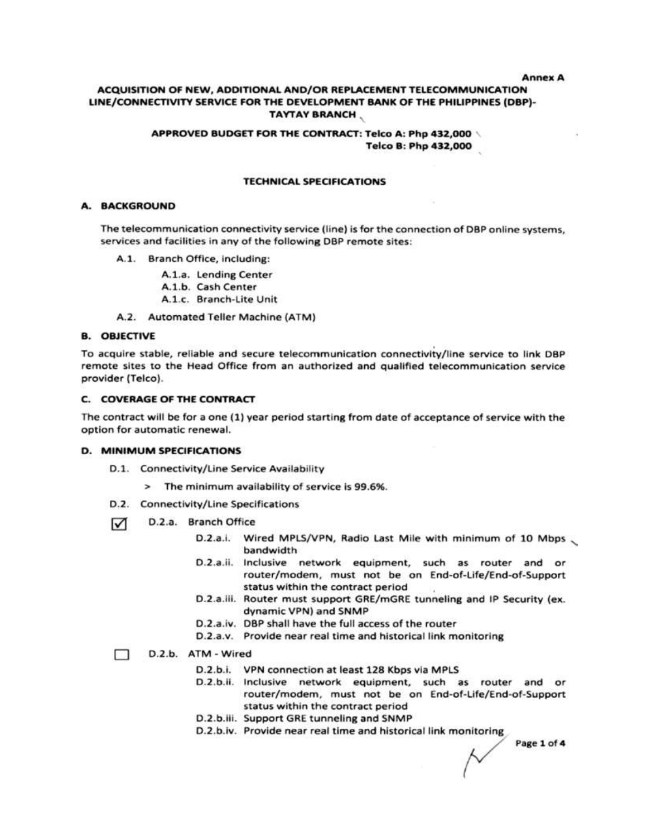**Annex A** 

### ACQUISITION OF NEW. ADDITIONAL AND/OR REPLACEMENT TELECOMMUNICATION LINE/CONNECTIVITY SERVICE FOR THE DEVELOPMENT BANK OF THE PHILIPPINES (DBP)-**TAYTAY BRANCH,**

### APPROVED BUDGET FOR THE CONTRACT: Telco A: Php 432,000 Telco B: Php 432,000

#### **TECHNICAL SPECIFICATIONS**

#### A. BACKGROUND

The telecommunication connectivity service (line) is for the connection of DBP online systems. services and facilities in any of the following DBP remote sites:

A.1. Branch Office, including:

A.1.a. Lending Center A.1.b. Cash Center A.1.c. Branch-Lite Unit

A.2. Automated Teller Machine (ATM)

#### **B. OBJECTIVE**

To acquire stable, reliable and secure telecommunication connectivity/line service to link DBP remote sites to the Head Office from an authorized and qualified telecommunication service provider (Telco).

#### C. COVERAGE OF THE CONTRACT

The contract will be for a one (1) year period starting from date of acceptance of service with the option for automatic renewal.

#### **D. MINIMUM SPECIFICATIONS**

- D.1. Connectivity/Line Service Availability
	- > The minimum availability of service is 99.6%.
- D.2. Connectivity/Line Specifications
- D.2.a. Branch Office ☑
	- Wired MPLS/VPN, Radio Last Mile with minimum of 10 Mbps  $D.2.a.i.$ bandwidth
	- D.2.a.ii. Inclusive network equipment, such as router and or router/modem, must not be on End-of-Life/End-of-Support status within the contract period
	- D.2.a.iii. Router must support GRE/mGRE tunneling and IP Security (ex. dynamic VPN) and SNMP
	- D.2.a.iv. DBP shall have the full access of the router
	- D.2.a.v. Provide near real time and historical link monitoring

#### D.2.b. ATM - Wired □

- D.2.b.i. VPN connection at least 128 Kbps via MPLS
- D.2.b.ii. Inclusive network equipment, such as router and or router/modem, must not be on End-of-Life/End-of-Support status within the contract period
- D.2.b.iii. Support GRE tunneling and SNMP
- D.2.b.iv. Provide near real time and historical link monitoring

Page 1 of 4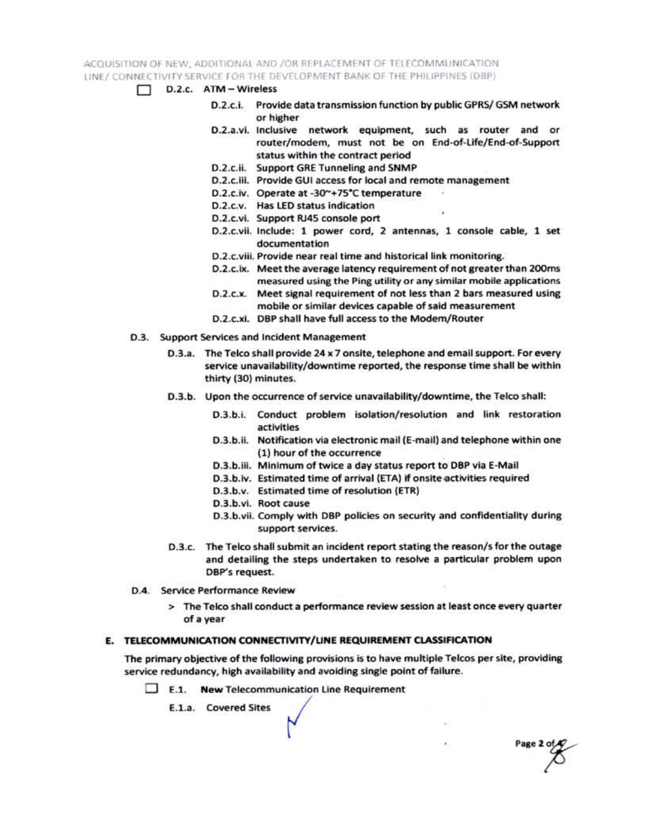ACQUISITION OF NEW, ADDITIONAL AND /OR REPLACEMENT OF TELECOMMUNICATION LINE / CONNECTIVITY SERVICE FOR THE DEVELOPMENT BANK OF THE PHILIPPINES (DBP)

- $\Box$  D.2.c.  $ATM Wireless$ 
	- D.2.c.i. Provide data transmission function by public GPRS/ GSM network or higher
	- D.2.a.vi. Inclusive network equipment, such as router and or router/modem, must not be on End-of-Life/End-of-Support status within the contract period
	- D.2.c.ii. Support GRE Tunneling and SNMP
	- D.2.c.iii. Provide GUI access for local and remote management
	- D.2.c.iv. Operate at -30~+75°C temperature
	- D.2.c.v. Has LED status indication
	- D.2.c.vi. Support RJ45 console port
	- D.2.c.vii. Include: 1 power cord, 2 antennas, 1 console cable, 1 set documentation
	- D.2.c.viii. Provide near real time and historical link monitoring.
	- D.2.c.ix. Meet the average latency requirement of not greater than 200ms measured using the Ping utility or any similar mobile applications
	- D.2.c.x. Meet signal requirement of not less than 2 bars measured using mobile or similar devices capable of said measurement
	- D.2.c.xi. DBP shall have full access to the Modem/Router
- D.3. Support Services and Incident Management
	- D.3.a. The Telco shall provide 24 x 7 onsite, telephone and email support. For every service unavailability/downtime reported, the response time shall be within thirty (30) minutes.
	- D.3.b. Upon the occurrence of service unavailability/downtime, the Telco shall:
		- D.3.b.i. Conduct problem isolation/resolution and link restoration activities
		- D.3.b.ii. Notification via electronic mail (E-mail) and telephone within one (1) hour of the occurrence
		- D.3.b.iii. Minimum of twice a day status report to DBP via E-Mail
		- D.3.b.iv. Estimated time of arrival (ETA) if onsite activities required
		- D.3.b.v. Estimated time of resolution (ETR)
		- D.3.b.vi. Root cause
		- D.3.b.vii. Comply with DBP policies on security and confidentiality during support services.

Page 2 of

- D.3.c. The Telco shall submit an incident report stating the reason/s for the outage and detailing the steps undertaken to resolve a particular problem upon DBP's request.
- D.4. Service Performance Review
	- > The Telco shall conduct a performance review session at least once every quarter of a year

### E. TELECOMMUNICATION CONNECTIVITY/LINE REQUIREMENT CLASSIFICATION

The primary objective of the following provisions is to have multiple Telcos per site, providing service redundancy, high availability and avoiding single point of failure.

 $\Box$  E.1. New Telecommunication Line Requirement

E.1.a. Covered Sites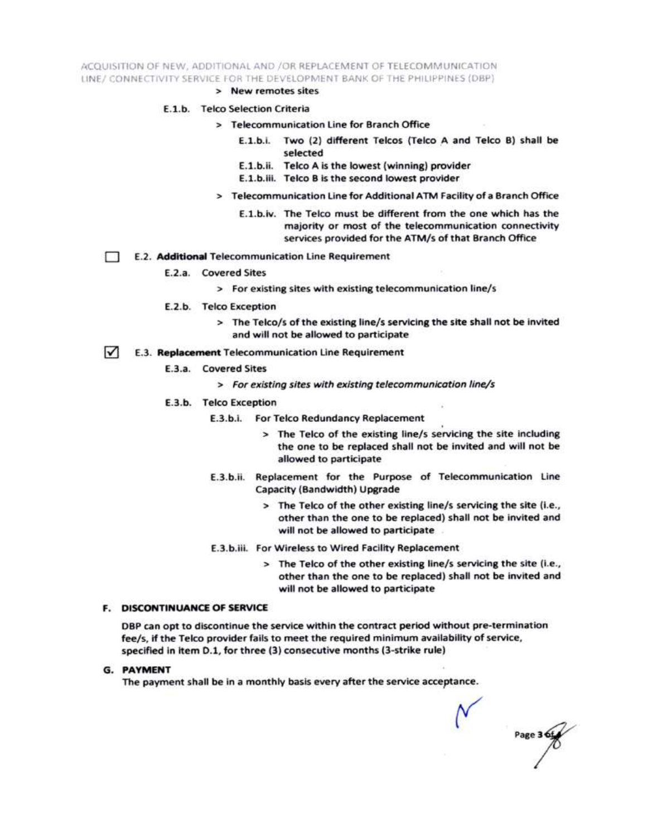ACQUISITION OF NEW, ADDITIONAL AND /OR REPLACEMENT OF TELECOMMUNICATION LINE/ CONNECTIVITY SERVICE FOR THE DEVELOPMENT BANK OF THE PHILIPPINES (DBP)

> New remotes sites

#### E.1.b. Telco Selection Criteria

- > Telecommunication Line for Branch Office
	- E.1.b.i. Two (2) different Telcos (Telco A and Telco B) shall be selected
	- E.1.b.ii. Telco A is the lowest (winning) provider
	- E.1.b.iii. Telco B is the second lowest provider
- > Telecommunication Line for Additional ATM Facility of a Branch Office
	- E.1.b.iv. The Telco must be different from the one which has the majority or most of the telecommunication connectivity services provided for the ATM/s of that Branch Office
- E.2. Additional Telecommunication Line Requirement Ð
	- E.2.a. Covered Sites
		- > For existing sites with existing telecommunication line/s
	- E.2.b. Telco Exception
		- > The Telco/s of the existing line/s servicing the site shall not be invited and will not be allowed to participate
- $\sqrt{ }$ E.3. Replacement Telecommunication Line Requirement
	- E.3.a. Covered Sites
		- > For existing sites with existing telecommunication line/s
	- E.3.b. Telco Exception
		- E.3.b.i. For Telco Redundancy Replacement
			- > The Telco of the existing line/s servicing the site including the one to be replaced shall not be invited and will not be allowed to participate
		- E.3.b.ii. Replacement for the Purpose of Telecommunication Line Capacity (Bandwidth) Upgrade
			- > The Telco of the other existing line/s servicing the site (i.e., other than the one to be replaced) shall not be invited and will not be allowed to participate
		- E.3.b.iii. For Wireless to Wired Facility Replacement
			- > The Telco of the other existing line/s servicing the site (i.e., other than the one to be replaced) shall not be invited and will not be allowed to participate

#### **F. DISCONTINUANCE OF SERVICE**

DBP can opt to discontinue the service within the contract period without pre-termination fee/s, if the Telco provider fails to meet the required minimum availability of service, specified in item D.1, for three (3) consecutive months (3-strike rule)

**G. PAYMENT** 

The payment shall be in a monthly basis every after the service acceptance.

Page 3 6t